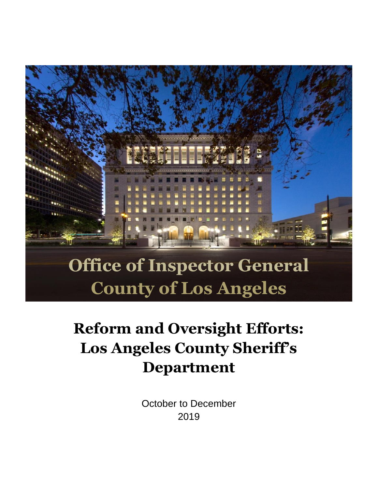

# **Office of Inspector General County of Los Angeles**

# **Reform and Oversight Efforts: Los Angeles County Sheriff's Department**

October to December 2019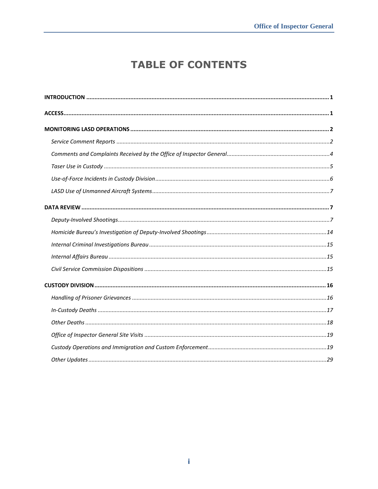# **TABLE OF CONTENTS**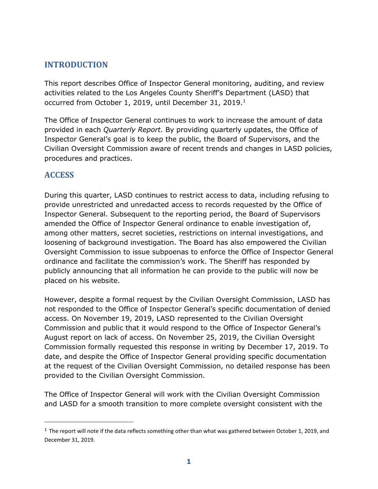# <span id="page-2-0"></span>**INTRODUCTION**

This report describes Office of Inspector General monitoring, auditing, and review activities related to the Los Angeles County Sheriff's Department (LASD) that occurred from October 1, 2019, until December 31, 2019.<sup>1</sup>

The Office of Inspector General continues to work to increase the amount of data provided in each *Quarterly Report.* By providing quarterly updates, the Office of Inspector General's goal is to keep the public, the Board of Supervisors, and the Civilian Oversight Commission aware of recent trends and changes in LASD policies, procedures and practices.

# <span id="page-2-1"></span>**ACCESS**

 $\overline{a}$ 

During this quarter, LASD continues to restrict access to data, including refusing to provide unrestricted and unredacted access to records requested by the Office of Inspector General. Subsequent to the reporting period, the Board of Supervisors amended the Office of Inspector General ordinance to enable investigation of, among other matters, secret societies, restrictions on internal investigations, and loosening of background investigation. The Board has also empowered the Civilian Oversight Commission to issue subpoenas to enforce the Office of Inspector General ordinance and facilitate the commission's work. The Sheriff has responded by publicly announcing that all information he can provide to the public will now be placed on his website.

However, despite a formal request by the Civilian Oversight Commission, LASD has not responded to the Office of Inspector General's specific documentation of denied access. On November 19, 2019, LASD represented to the Civilian Oversight Commission and public that it would respond to the Office of Inspector General's August report on lack of access. On November 25, 2019, the Civilian Oversight Commission formally requested this response in writing by December 17, 2019. To date, and despite the Office of Inspector General providing specific documentation at the request of the Civilian Oversight Commission, no detailed response has been provided to the Civilian Oversight Commission.

The Office of Inspector General will work with the Civilian Oversight Commission and LASD for a smooth transition to more complete oversight consistent with the

 $1$  The report will note if the data reflects something other than what was gathered between October 1, 2019, and December 31, 2019.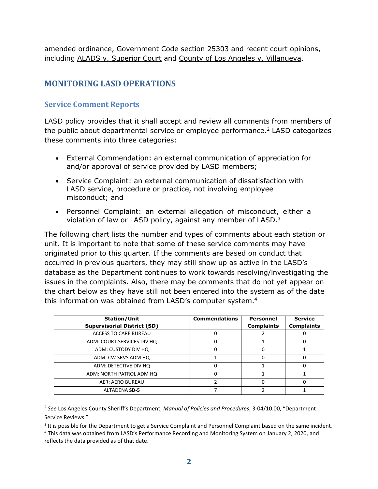amended ordinance, Government Code section 25303 and recent court opinions, including ALADS v. Superior Court and County of Los Angeles v. Villanueva.

# <span id="page-3-0"></span>**MONITORING LASD OPERATIONS**

# <span id="page-3-1"></span>**Service Comment Reports**

 $\overline{a}$ 

LASD policy provides that it shall accept and review all comments from members of the public about departmental service or employee performance.<sup>2</sup> LASD categorizes these comments into three categories:

- External Commendation: an external communication of appreciation for and/or approval of service provided by LASD members;
- Service Complaint: an external communication of dissatisfaction with LASD service, procedure or practice, not involving employee misconduct; and
- Personnel Complaint: an external allegation of misconduct, either a violation of law or LASD policy, against any member of LASD.<sup>3</sup>

The following chart lists the number and types of comments about each station or unit. It is important to note that some of these service comments may have originated prior to this quarter. If the comments are based on conduct that occurred in previous quarters, they may still show up as active in the LASD's database as the Department continues to work towards resolving/investigating the issues in the complaints. Also, there may be comments that do not yet appear on the chart below as they have still not been entered into the system as of the date this information was obtained from LASD's computer system.<sup>4</sup>

| <b>Station/Unit</b><br><b>Supervisorial District (SD)</b> | <b>Commendations</b> | Personnel<br><b>Complaints</b> | <b>Service</b><br><b>Complaints</b> |
|-----------------------------------------------------------|----------------------|--------------------------------|-------------------------------------|
| <b>ACCESS TO CARE BUREAU</b>                              | Ω                    |                                |                                     |
| ADM: COURT SERVICES DIV HQ                                | Ω                    |                                |                                     |
| ADM: CUSTODY DIV HQ                                       | 0                    |                                |                                     |
| ADM: CW SRVS ADM HQ                                       |                      |                                |                                     |
| ADM: DETECTIVE DIV HQ                                     | 0                    |                                |                                     |
| ADM: NORTH PATROL ADM HQ                                  | 0                    |                                |                                     |
| AER: AERO BUREAU                                          |                      |                                |                                     |
| <b>ALTADENA SD-5</b>                                      |                      |                                |                                     |

<sup>2</sup> *See* Los Angeles County Sheriff's Department, *Manual of Policies and Procedures*, 3-04/10.00, "Department Service Reviews."

<sup>&</sup>lt;sup>3</sup> It is possible for the Department to get a Service Complaint and Personnel Complaint based on the same incident. <sup>4</sup> This data was obtained from LASD's Performance Recording and Monitoring System on January 2, 2020, and reflects the data provided as of that date.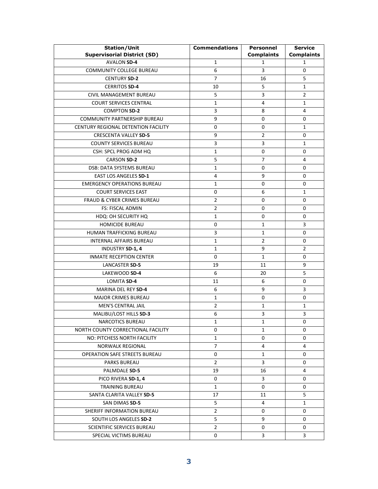| <b>Station/Unit</b>                    | <b>Commendations</b> | <b>Personnel</b>  | <b>Service</b>    |
|----------------------------------------|----------------------|-------------------|-------------------|
| <b>Supervisorial District (SD)</b>     |                      | <b>Complaints</b> | <b>Complaints</b> |
| <b>AVALON SD-4</b>                     | $\mathbf{1}$         | 1                 | 1                 |
| COMMUNITY COLLEGE BUREAU               | 6                    | 3                 | 0                 |
| <b>CENTURY SD-2</b>                    | 7                    | 16                | 5                 |
| <b>CERRITOS SD-4</b>                   | 10                   | 5                 | $\mathbf{1}$      |
| CIVIL MANAGEMENT BUREAU                | 5                    | 3                 | $\overline{2}$    |
| <b>COURT SERVICES CENTRAL</b>          | $\mathbf{1}$         | 4                 | $\mathbf{1}$      |
| <b>COMPTON SD-2</b>                    | 3                    | 8                 | 4                 |
| COMMUNITY PARTNERSHIP BUREAU           | 9                    | 0                 | 0                 |
| CENTURY REGIONAL DETENTION FACILITY    | 0                    | 0                 | $\mathbf{1}$      |
| <b>CRESCENTA VALLEY SD-5</b>           | 9                    | $\overline{2}$    | 0                 |
| <b>COUNTY SERVICES BUREAU</b>          | 3                    | 3                 | 1                 |
| CSH: SPCL PROG ADM HQ                  | 1                    | 0                 | 0                 |
| <b>CARSON SD-2</b>                     | 5                    | $\overline{7}$    | 4                 |
| <b>DSB: DATA SYSTEMS BUREAU</b>        | 1                    | 0                 | 0                 |
| EAST LOS ANGELES SD-1                  | 4                    | 9                 | 0                 |
| <b>EMERGENCY OPERATIONS BUREAU</b>     | 1                    | 0                 | 0                 |
| <b>COURT SERVICES EAST</b>             | 0                    | 6                 | $\mathbf{1}$      |
| <b>FRAUD &amp; CYBER CRIMES BUREAU</b> | 2                    | 0                 | 0                 |
| <b>FS: FISCAL ADMIN</b>                | $\overline{2}$       | 0                 | 0                 |
| HDQ: OH SECURITY HQ                    | 1                    | 0                 | 0                 |
| <b>HOMICIDE BUREAU</b>                 | 0                    | $\mathbf{1}$      | 3                 |
| HUMAN TRAFFICKING BUREAU               | 3                    | $\mathbf{1}$      | 0                 |
| <b>INTERNAL AFFAIRS BUREAU</b>         | 1                    | 2                 | 0                 |
| INDUSTRY SD-1, 4                       | 1                    | 9                 | 2                 |
| <b>INMATE RECEPTION CENTER</b>         | 0                    | $\mathbf{1}$      | 0                 |
| LANCASTER SD-5                         | 19                   | 11                | 9                 |
| LAKEWOOD SD-4                          | 6                    | 20                | 5                 |
| LOMITA SD-4                            | 11                   | 6                 | 0                 |
| MARINA DEL REY SD-4                    | 6                    | 9                 | 3                 |
| <b>MAJOR CRIMES BUREAU</b>             | 1                    | 0                 | 0                 |
| <b>MEN'S CENTRAL JAIL</b>              | 2                    | $\mathbf{1}$      | 1                 |
| MALIBU/LOST HILLS SD-3                 | 6                    | 3                 | 3                 |
| NARCOTICS BUREAU                       | 1                    | $\mathbf{1}$      | U                 |
| NORTH COUNTY CORRECTIONAL FACILITY     | 0                    | 1                 | 0                 |
| NO: PITCHESS NORTH FACILITY            | 1                    | 0                 | 0                 |
| NORWALK REGIONAL                       | $\overline{7}$       | 4                 | 4                 |
| <b>OPERATION SAFE STREETS BUREAU</b>   | 0                    | 1                 | 0                 |
| PARKS BUREAU                           | 2                    | 3                 | 0                 |
| PALMDALE SD-5                          | 19                   | 16                | 4                 |
| PICO RIVERA SD-1, 4                    | 0                    | 3                 | 0                 |
| <b>TRAINING BUREAU</b>                 | 1                    | 0                 | 0                 |
| SANTA CLARITA VALLEY SD-5              | 17                   | 11                | 5                 |
| SAN DIMAS SD-5                         | 5                    | 4                 | 1                 |
| SHERIFF INFORMATION BUREAU             | $\overline{2}$       | 0                 | 0                 |
| SOUTH LOS ANGELES SD-2                 | 5                    | 9                 | 0                 |
| SCIENTIFIC SERVICES BUREAU             | $\overline{2}$       | 0                 | 0                 |
| SPECIAL VICTIMS BUREAU                 | 0                    | 3                 | 3                 |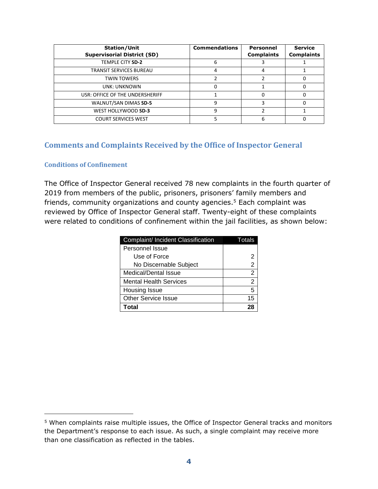| <b>Station/Unit</b><br><b>Supervisorial District (SD)</b> | <b>Commendations</b> | Personnel<br><b>Complaints</b> | <b>Service</b><br><b>Complaints</b> |
|-----------------------------------------------------------|----------------------|--------------------------------|-------------------------------------|
| TEMPLE CITY SD-2                                          | 6                    |                                |                                     |
| TRANSIT SERVICES BUREAU                                   | 4                    | 4                              |                                     |
| <b>TWIN TOWERS</b>                                        |                      |                                |                                     |
| UNK: UNKNOWN                                              |                      |                                |                                     |
| USR: OFFICE OF THE UNDERSHERIFF                           |                      |                                |                                     |
| WALNUT/SAN DIMAS SD-5                                     | q                    |                                |                                     |
| WEST HOLLYWOOD SD-3                                       | ٩                    |                                |                                     |
| <b>COURT SERVICES WEST</b>                                |                      |                                |                                     |

# <span id="page-5-0"></span>**Comments and Complaints Received by the Office of Inspector General**

#### **Conditions of Confinement**

j

The Office of Inspector General received 78 new complaints in the fourth quarter of 2019 from members of the public, prisoners, prisoners' family members and friends, community organizations and county agencies.<sup>5</sup> Each complaint was reviewed by Office of Inspector General staff. Twenty-eight of these complaints were related to conditions of confinement within the jail facilities, as shown below:

| Complaint/ Incident Classification | Totals         |
|------------------------------------|----------------|
| Personnel Issue                    |                |
| Use of Force                       | 2              |
| No Discernable Subject             | 2              |
| Medical/Dental Issue               | $\overline{2}$ |
| <b>Mental Health Services</b>      | 2              |
| Housing Issue                      | 5              |
| <b>Other Service Issue</b>         | 15             |
| Total                              | 7۶             |

<sup>5</sup> When complaints raise multiple issues, the Office of Inspector General tracks and monitors the Department's response to each issue. As such, a single complaint may receive more than one classification as reflected in the tables.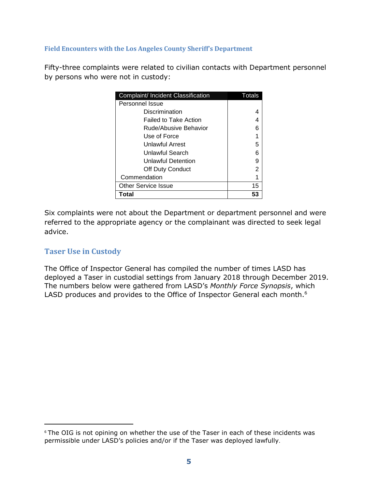#### **Field Encounters with the Los Angeles County Sheriff's Department**

Fifty-three complaints were related to civilian contacts with Department personnel by persons who were not in custody:

| Complaint/ Incident Classification | Totals |
|------------------------------------|--------|
| Personnel Issue                    |        |
| Discrimination                     |        |
| Failed to Take Action              |        |
| Rude/Abusive Behavior              |        |
| Use of Force                       |        |
| Unlawful Arrest                    | 5      |
| Unlawful Search                    |        |
| Unlawful Detention                 | 9      |
| Off Duty Conduct                   | 2      |
| Commendation                       |        |
| <b>Other Service Issue</b>         | 15     |
| Total                              | 53     |

Six complaints were not about the Department or department personnel and were referred to the appropriate agency or the complainant was directed to seek legal advice.

#### <span id="page-6-0"></span>**Taser Use in Custody**

j

The Office of Inspector General has compiled the number of times LASD has deployed a Taser in custodial settings from January 2018 through December 2019. The numbers below were gathered from LASD's *Monthly Force Synopsis*, which LASD produces and provides to the Office of Inspector General each month.<sup>6</sup>

<sup>&</sup>lt;sup>6</sup> The OIG is not opining on whether the use of the Taser in each of these incidents was permissible under LASD's policies and/or if the Taser was deployed lawfully.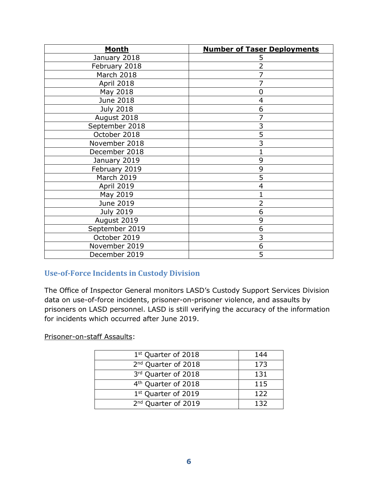| <b>Month</b>      | <b>Number of Taser Deployments</b> |
|-------------------|------------------------------------|
| January 2018      | 5                                  |
| February 2018     | $\overline{2}$                     |
| March 2018        | 7                                  |
| April 2018        | $\overline{7}$                     |
| May 2018          | 0                                  |
| June 2018         | 4                                  |
| <b>July 2018</b>  | 6                                  |
| August 2018       | $\overline{7}$                     |
| September 2018    | 3                                  |
| October 2018      | $\overline{5}$                     |
| November 2018     | $\overline{3}$                     |
| December 2018     | 1                                  |
| January 2019      | 9                                  |
| February 2019     | 9                                  |
| <b>March 2019</b> | $\overline{5}$                     |
| April 2019        | 4                                  |
| May 2019          | $\overline{1}$                     |
| June 2019         | $\overline{2}$                     |
| <b>July 2019</b>  | 6                                  |
| August 2019       | 9                                  |
| September 2019    | 6                                  |
| October 2019      | 3                                  |
| November 2019     | 6                                  |
| December 2019     | 5                                  |

# <span id="page-7-0"></span>**Use-of-Force Incidents in Custody Division**

The Office of Inspector General monitors LASD's Custody Support Services Division data on use-of-force incidents, prisoner-on-prisoner violence, and assaults by prisoners on LASD personnel. LASD is still verifying the accuracy of the information for incidents which occurred after June 2019.

Prisoner-on-staff Assaults:

| 1 <sup>st</sup> Quarter of 2018 | 144 |
|---------------------------------|-----|
| 2 <sup>nd</sup> Quarter of 2018 | 173 |
| 3rd Quarter of 2018             | 131 |
| 4 <sup>th</sup> Quarter of 2018 | 115 |
| 1 <sup>st</sup> Quarter of 2019 | 122 |
| 2 <sup>nd</sup> Quarter of 2019 | 132 |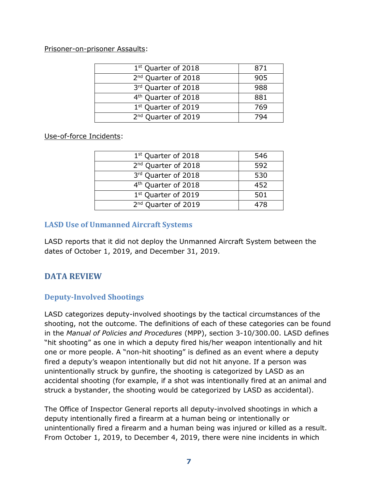Prisoner-on-prisoner Assaults:

| 1 <sup>st</sup> Quarter of 2018 | 871 |
|---------------------------------|-----|
| 2 <sup>nd</sup> Quarter of 2018 | 905 |
| 3rd Quarter of 2018             | 988 |
| 4 <sup>th</sup> Quarter of 2018 | 881 |
| 1st Quarter of 2019             | 769 |
| 2 <sup>nd</sup> Quarter of 2019 |     |
|                                 |     |

Use-of-force Incidents:

| 1 <sup>st</sup> Quarter of 2018 | 546 |
|---------------------------------|-----|
| 2 <sup>nd</sup> Quarter of 2018 | 592 |
| 3rd Quarter of 2018             | 530 |
| 4 <sup>th</sup> Quarter of 2018 | 452 |
| 1 <sup>st</sup> Quarter of 2019 | 501 |
| 2 <sup>nd</sup> Quarter of 2019 |     |

#### <span id="page-8-0"></span>**LASD Use of Unmanned Aircraft Systems**

LASD reports that it did not deploy the Unmanned Aircraft System between the dates of October 1, 2019, and December 31, 2019.

# <span id="page-8-1"></span>**DATA REVIEW**

# <span id="page-8-2"></span>**Deputy-Involved Shootings**

LASD categorizes deputy-involved shootings by the tactical circumstances of the shooting, not the outcome. The definitions of each of these categories can be found in the *Manual of Policies and Procedures* (MPP), section 3-10/300.00. LASD defines "hit shooting" as one in which a deputy fired his/her weapon intentionally and hit one or more people. A "non-hit shooting" is defined as an event where a deputy fired a deputy's weapon intentionally but did not hit anyone. If a person was unintentionally struck by gunfire, the shooting is categorized by LASD as an accidental shooting (for example, if a shot was intentionally fired at an animal and struck a bystander, the shooting would be categorized by LASD as accidental).

The Office of Inspector General reports all deputy-involved shootings in which a deputy intentionally fired a firearm at a human being or intentionally or unintentionally fired a firearm and a human being was injured or killed as a result. From October 1, 2019, to December 4, 2019, there were nine incidents in which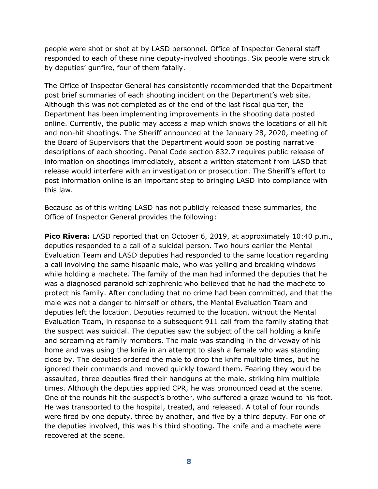people were shot or shot at by LASD personnel. Office of Inspector General staff responded to each of these nine deputy-involved shootings. Six people were struck by deputies' gunfire, four of them fatally.

The Office of Inspector General has consistently recommended that the Department post brief summaries of each shooting incident on the Department's web site. Although this was not completed as of the end of the last fiscal quarter, the Department has been implementing improvements in the shooting data posted online. Currently, the public may access a map which shows the locations of all hit and non-hit shootings. The Sheriff announced at the January 28, 2020, meeting of the Board of Supervisors that the Department would soon be posting narrative descriptions of each shooting. Penal Code section 832.7 requires public release of information on shootings immediately, absent a written statement from LASD that release would interfere with an investigation or prosecution. The Sheriff's effort to post information online is an important step to bringing LASD into compliance with this law.

Because as of this writing LASD has not publicly released these summaries, the Office of Inspector General provides the following:

**Pico Rivera:** LASD reported that on October 6, 2019, at approximately 10:40 p.m., deputies responded to a call of a suicidal person. Two hours earlier the Mental Evaluation Team and LASD deputies had responded to the same location regarding a call involving the same hispanic male, who was yelling and breaking windows while holding a machete. The family of the man had informed the deputies that he was a diagnosed paranoid schizophrenic who believed that he had the machete to protect his family. After concluding that no crime had been committed, and that the male was not a danger to himself or others, the Mental Evaluation Team and deputies left the location. Deputies returned to the location, without the Mental Evaluation Team, in response to a subsequent 911 call from the family stating that the suspect was suicidal. The deputies saw the subject of the call holding a knife and screaming at family members. The male was standing in the driveway of his home and was using the knife in an attempt to slash a female who was standing close by. The deputies ordered the male to drop the knife multiple times, but he ignored their commands and moved quickly toward them. Fearing they would be assaulted, three deputies fired their handguns at the male, striking him multiple times. Although the deputies applied CPR, he was pronounced dead at the scene. One of the rounds hit the suspect's brother, who suffered a graze wound to his foot. He was transported to the hospital, treated, and released. A total of four rounds were fired by one deputy, three by another, and five by a third deputy. For one of the deputies involved, this was his third shooting. The knife and a machete were recovered at the scene.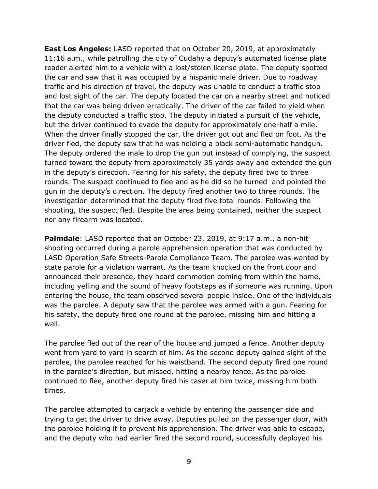**East Los Angeles:** LASD reported that on October 20, 2019, at approximately 11:16 a.m., while patrolling the city of Cudahy a deputy's automated license plate reader alerted him to a vehicle with a lost/stolen license plate. The deputy spotted the car and saw that it was occupied by a hispanic male driver. Due to roadway traffic and his direction of travel, the deputy was unable to conduct a traffic stop and lost sight of the car. The deputy located the car on a nearby street and noticed that the car was being driven erratically. The driver of the car failed to yield when the deputy conducted a traffic stop. The deputy initiated a pursuit of the vehicle, but the driver continued to evade the deputy for approximately one-half a mile. When the driver finally stopped the car, the driver got out and fled on foot. As the driver fled, the deputy saw that he was holding a black semi-automatic handgun. The deputy ordered the male to drop the gun but instead of complying, the suspect turned toward the deputy from approximately 35 yards away and extended the gun in the deputy's direction. Fearing for his safety, the deputy fired two to three rounds. The suspect continued to flee and as he did so he turned and pointed the gun in the deputy's direction. The deputy fired another two to three rounds. The investigation determined that the deputy fired five total rounds. Following the shooting, the suspect fled. Despite the area being contained, neither the suspect nor any firearm was located.

**Palmdale**: LASD reported that on October 23, 2019, at 9:17 a.m., a non-hit shooting occurred during a parole apprehension operation that was conducted by LASD Operation Safe Streets-Parole Compliance Team. The parolee was wanted by state parole for a violation warrant. As the team knocked on the front door and announced their presence, they heard commotion coming from within the home, including yelling and the sound of heavy footsteps as if someone was running. Upon entering the house, the team observed several people inside. One of the individuals was the parolee. A deputy saw that the parolee was armed with a gun. Fearing for his safety, the deputy fired one round at the parolee, missing him and hitting a wall.

The parolee fled out of the rear of the house and jumped a fence. Another deputy went from yard to yard in search of him. As the second deputy gained sight of the parolee, the parolee reached for his waistband. The second deputy fired one round in the parolee's direction, but missed, hitting a nearby fence. As the parolee continued to flee, another deputy fired his taser at him twice, missing him both times.

The parolee attempted to carjack a vehicle by entering the passenger side and trying to get the driver to drive away. Deputies pulled on the passenger door, with the parolee holding it to prevent his apprehension. The driver was able to escape, and the deputy who had earlier fired the second round, successfully deployed his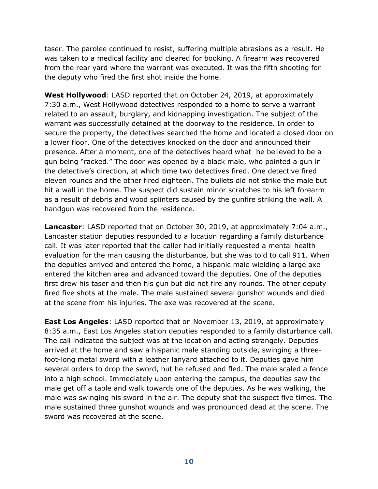taser. The parolee continued to resist, suffering multiple abrasions as a result. He was taken to a medical facility and cleared for booking. A firearm was recovered from the rear yard where the warrant was executed. It was the fifth shooting for the deputy who fired the first shot inside the home.

**West Hollywood**: LASD reported that on October 24, 2019, at approximately 7:30 a.m., West Hollywood detectives responded to a home to serve a warrant related to an assault, burglary, and kidnapping investigation. The subject of the warrant was successfully detained at the doorway to the residence. In order to secure the property, the detectives searched the home and located a closed door on a lower floor. One of the detectives knocked on the door and announced their presence. After a moment, one of the detectives heard what he believed to be a gun being "racked." The door was opened by a black male, who pointed a gun in the detective's direction, at which time two detectives fired. One detective fired eleven rounds and the other fired eighteen. The bullets did not strike the male but hit a wall in the home. The suspect did sustain minor scratches to his left forearm as a result of debris and wood splinters caused by the gunfire striking the wall. A handgun was recovered from the residence.

**Lancaster**: LASD reported that on October 30, 2019, at approximately 7:04 a.m., Lancaster station deputies responded to a location regarding a family disturbance call. It was later reported that the caller had initially requested a mental health evaluation for the man causing the disturbance, but she was told to call 911. When the deputies arrived and entered the home, a hispanic male wielding a large axe entered the kitchen area and advanced toward the deputies. One of the deputies first drew his taser and then his gun but did not fire any rounds. The other deputy fired five shots at the male. The male sustained several gunshot wounds and died at the scene from his injuries. The axe was recovered at the scene.

**East Los Angeles**: LASD reported that on November 13, 2019, at approximately 8:35 a.m., East Los Angeles station deputies responded to a family disturbance call. The call indicated the subject was at the location and acting strangely. Deputies arrived at the home and saw a hispanic male standing outside, swinging a threefoot-long metal sword with a leather lanyard attached to it. Deputies gave him several orders to drop the sword, but he refused and fled. The male scaled a fence into a high school. Immediately upon entering the campus, the deputies saw the male get off a table and walk towards one of the deputies. As he was walking, the male was swinging his sword in the air. The deputy shot the suspect five times. The male sustained three gunshot wounds and was pronounced dead at the scene. The sword was recovered at the scene.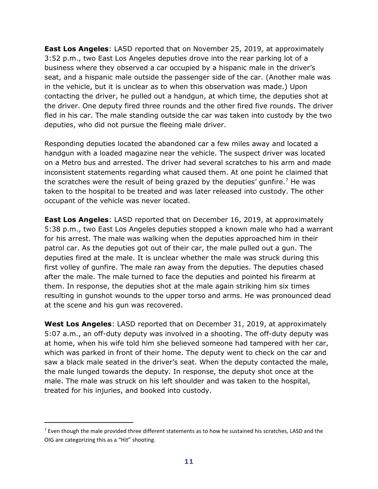**East Los Angeles**: LASD reported that on November 25, 2019, at approximately 3:52 p.m., two East Los Angeles deputies drove into the rear parking lot of a business where they observed a car occupied by a hispanic male in the driver's seat, and a hispanic male outside the passenger side of the car. (Another male was in the vehicle, but it is unclear as to when this observation was made.) Upon contacting the driver, he pulled out a handgun, at which time, the deputies shot at the driver. One deputy fired three rounds and the other fired five rounds. The driver fled in his car. The male standing outside the car was taken into custody by the two deputies, who did not pursue the fleeing male driver.

Responding deputies located the abandoned car a few miles away and located a handgun with a loaded magazine near the vehicle. The suspect driver was located on a Metro bus and arrested. The driver had several scratches to his arm and made inconsistent statements regarding what caused them. At one point he claimed that the scratches were the result of being grazed by the deputies' gunfire.<sup>7</sup> He was taken to the hospital to be treated and was later released into custody. The other occupant of the vehicle was never located.

**East Los Angeles**: LASD reported that on December 16, 2019, at approximately 5:38 p.m., two East Los Angeles deputies stopped a known male who had a warrant for his arrest. The male was walking when the deputies approached him in their patrol car. As the deputies got out of their car, the male pulled out a gun. The deputies fired at the male. It is unclear whether the male was struck during this first volley of gunfire. The male ran away from the deputies. The deputies chased after the male. The male turned to face the deputies and pointed his firearm at them. In response, the deputies shot at the male again striking him six times resulting in gunshot wounds to the upper torso and arms. He was pronounced dead at the scene and his gun was recovered.

**West Los Angeles**: LASD reported that on December 31, 2019, at approximately 5:07 a.m., an off-duty deputy was involved in a shooting. The off-duty deputy was at home, when his wife told him she believed someone had tampered with her car, which was parked in front of their home. The deputy went to check on the car and saw a black male seated in the driver's seat. When the deputy contacted the male, the male lunged towards the deputy. In response, the deputy shot once at the male. The male was struck on his left shoulder and was taken to the hospital, treated for his injuries, and booked into custody.

j

 $<sup>7</sup>$  Even though the male provided three different statements as to how he sustained his scratches, LASD and the</sup> OIG are categorizing this as a "Hit" shooting.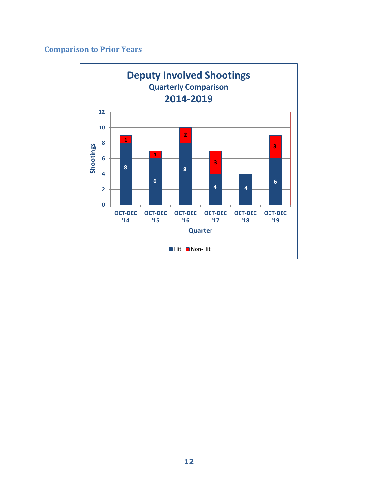# **Comparison to Prior Years**

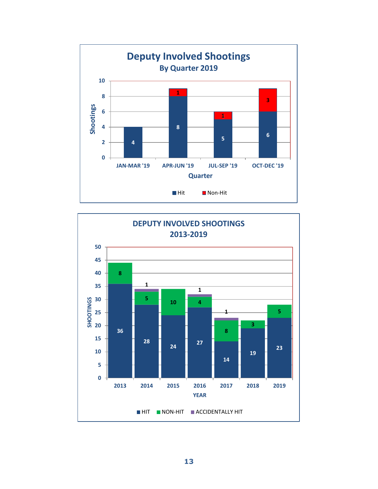

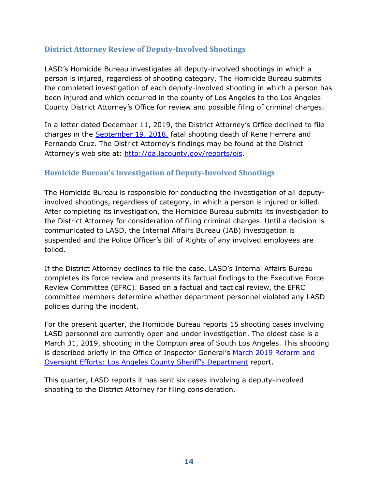# **District Attorney Review of Deputy-Involved Shootings**

LASD's Homicide Bureau investigates all deputy-involved shootings in which a person is injured, regardless of shooting category. The Homicide Bureau submits the completed investigation of each deputy-involved shooting in which a person has been injured and which occurred in the county of Los Angeles to the Los Angeles County District Attorney's Office for review and possible filing of criminal charges.

In a letter dated December 11, 2019, the District Attorney's Office declined to file charges in the [September 19, 2018,](http://da.lacounty.gov/sites/default/files/pdf/JSID-OIS-1202019-HerreraCruz.pdf) fatal shooting death of Rene Herrera and Fernando Cruz. The District Attorney's findings may be found at the District Attorney's web site at: [http://da.lacounty.gov/reports/ois.](http://da.lacounty.gov/reports/ois)

#### <span id="page-15-0"></span>**Homicide Bureau's Investigation of Deputy-Involved Shootings**

The Homicide Bureau is responsible for conducting the investigation of all deputyinvolved shootings, regardless of category, in which a person is injured or killed. After completing its investigation, the Homicide Bureau submits its investigation to the District Attorney for consideration of filing criminal charges. Until a decision is communicated to LASD, the Internal Affairs Bureau (IAB) investigation is suspended and the Police Officer's Bill of Rights of any involved employees are tolled.

If the District Attorney declines to file the case, LASD's Internal Affairs Bureau completes its force review and presents its factual findings to the Executive Force Review Committee (EFRC). Based on a factual and tactical review, the EFRC committee members determine whether department personnel violated any LASD policies during the incident.

For the present quarter, the Homicide Bureau reports 15 shooting cases involving LASD personnel are currently open and under investigation. The oldest case is a March 31, 2019, shooting in the Compton area of South Los Angeles. This shooting is described briefly in the Office of Inspector General's March 2019 Reform and Oversight Efforts: Los [Angeles County Sheriff's Department](https://oig.lacounty.gov/Portals/OIG/Reports/October%202018%20Reform%20and%20Oversight%20Efforts.pdf?ver=2018-10-31-093133-533) report.

This quarter, LASD reports it has sent six cases involving a deputy-involved shooting to the District Attorney for filing consideration.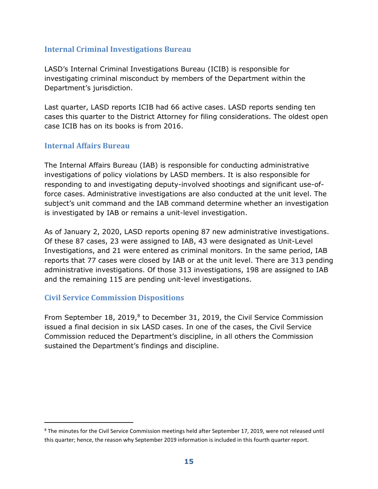#### <span id="page-16-0"></span>**Internal Criminal Investigations Bureau**

LASD's Internal Criminal Investigations Bureau (ICIB) is responsible for investigating criminal misconduct by members of the Department within the Department's jurisdiction.

Last quarter, LASD reports ICIB had 66 active cases. LASD reports sending ten cases this quarter to the District Attorney for filing considerations. The oldest open case ICIB has on its books is from 2016.

#### <span id="page-16-1"></span>**Internal Affairs Bureau**

The Internal Affairs Bureau (IAB) is responsible for conducting administrative investigations of policy violations by LASD members. It is also responsible for responding to and investigating deputy-involved shootings and significant use-offorce cases. Administrative investigations are also conducted at the unit level. The subject's unit command and the IAB command determine whether an investigation is investigated by IAB or remains a unit-level investigation.

As of January 2, 2020, LASD reports opening 87 new administrative investigations. Of these 87 cases, 23 were assigned to IAB, 43 were designated as Unit-Level Investigations, and 21 were entered as criminal monitors. In the same period, IAB reports that 77 cases were closed by IAB or at the unit level. There are 313 pending administrative investigations. Of those 313 investigations, 198 are assigned to IAB and the remaining 115 are pending unit-level investigations.

#### <span id="page-16-2"></span>**Civil Service Commission Dispositions**

j

From September 18, 2019,<sup>8</sup> to December 31, 2019, the Civil Service Commission issued a final decision in six LASD cases. In one of the cases, the Civil Service Commission reduced the Department's discipline, in all others the Commission sustained the Department's findings and discipline.

<sup>&</sup>lt;sup>8</sup> The minutes for the Civil Service Commission meetings held after September 17, 2019, were not released until this quarter; hence, the reason why September 2019 information is included in this fourth quarter report.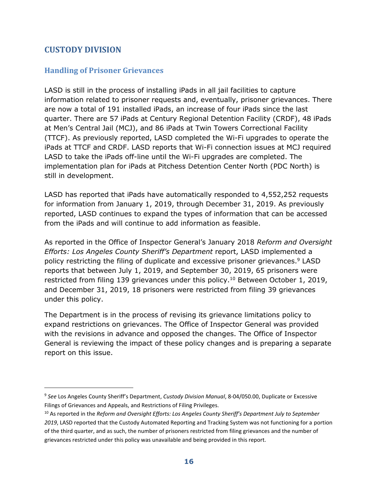# <span id="page-17-0"></span>**CUSTODY DIVISION**

 $\overline{a}$ 

# <span id="page-17-1"></span>**Handling of Prisoner Grievances**

LASD is still in the process of installing iPads in all jail facilities to capture information related to prisoner requests and, eventually, prisoner grievances. There are now a total of 191 installed iPads, an increase of four iPads since the last quarter. There are 57 iPads at Century Regional Detention Facility (CRDF), 48 iPads at Men's Central Jail (MCJ), and 86 iPads at Twin Towers Correctional Facility (TTCF). As previously reported, LASD completed the Wi-Fi upgrades to operate the iPads at TTCF and CRDF. LASD reports that Wi-Fi connection issues at MCJ required LASD to take the iPads off-line until the Wi-Fi upgrades are completed. The implementation plan for iPads at Pitchess Detention Center North (PDC North) is still in development.

LASD has reported that iPads have automatically responded to 4,552,252 requests for information from January 1, 2019, through December 31, 2019. As previously reported, LASD continues to expand the types of information that can be accessed from the iPads and will continue to add information as feasible.

As reported in the Office of Inspector General's January 2018 *Reform and Oversight Efforts: Los Angeles County Sheriff's Department* report, LASD implemented a policy restricting the filing of duplicate and excessive prisoner grievances.<sup>9</sup> LASD reports that between July 1, 2019, and September 30, 2019, 65 prisoners were restricted from filing 139 grievances under this policy.<sup>10</sup> Between October 1, 2019, and December 31, 2019, 18 prisoners were restricted from filing 39 grievances under this policy.

The Department is in the process of revising its grievance limitations policy to expand restrictions on grievances. The Office of Inspector General was provided with the revisions in advance and opposed the changes. The Office of Inspector General is reviewing the impact of these policy changes and is preparing a separate report on this issue.

<sup>9</sup> *See* Los Angeles County Sheriff's Department, *Custody Division Manual*, 8-04/050.00, Duplicate or Excessive Filings of Grievances and Appeals, and Restrictions of Filing Privileges.

<sup>10</sup> As reported in the *Reform and Oversight Efforts: Los Angeles County Sheriff's Department July to September 2019*, LASD reported that the Custody Automated Reporting and Tracking System was not functioning for a portion of the third quarter, and as such, the number of prisoners restricted from filing grievances and the number of grievances restricted under this policy was unavailable and being provided in this report.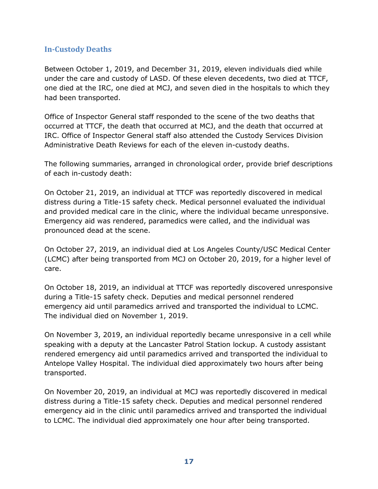# <span id="page-18-0"></span>**In-Custody Deaths**

Between October 1, 2019, and December 31, 2019, eleven individuals died while under the care and custody of LASD. Of these eleven decedents, two died at TTCF, one died at the IRC, one died at MCJ, and seven died in the hospitals to which they had been transported.

Office of Inspector General staff responded to the scene of the two deaths that occurred at TTCF, the death that occurred at MCJ, and the death that occurred at IRC. Office of Inspector General staff also attended the Custody Services Division Administrative Death Reviews for each of the eleven in-custody deaths.

The following summaries, arranged in chronological order, provide brief descriptions of each in-custody death:

On October 21, 2019, an individual at TTCF was reportedly discovered in medical distress during a Title-15 safety check. Medical personnel evaluated the individual and provided medical care in the clinic, where the individual became unresponsive. Emergency aid was rendered, paramedics were called, and the individual was pronounced dead at the scene.

On October 27, 2019, an individual died at Los Angeles County/USC Medical Center (LCMC) after being transported from MCJ on October 20, 2019, for a higher level of care.

On October 18, 2019, an individual at TTCF was reportedly discovered unresponsive during a Title-15 safety check. Deputies and medical personnel rendered emergency aid until paramedics arrived and transported the individual to LCMC. The individual died on November 1, 2019.

On November 3, 2019, an individual reportedly became unresponsive in a cell while speaking with a deputy at the Lancaster Patrol Station lockup. A custody assistant rendered emergency aid until paramedics arrived and transported the individual to Antelope Valley Hospital. The individual died approximately two hours after being transported.

On November 20, 2019, an individual at MCJ was reportedly discovered in medical distress during a Title-15 safety check. Deputies and medical personnel rendered emergency aid in the clinic until paramedics arrived and transported the individual to LCMC. The individual died approximately one hour after being transported.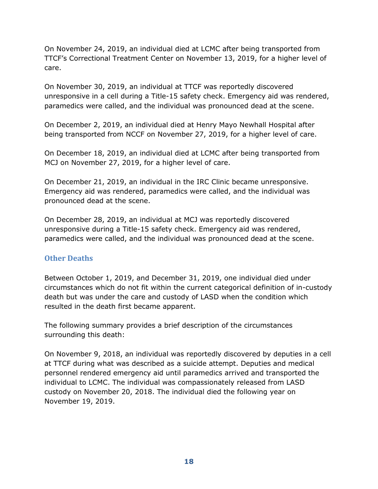On November 24, 2019, an individual died at LCMC after being transported from TTCF's Correctional Treatment Center on November 13, 2019, for a higher level of care.

On November 30, 2019, an individual at TTCF was reportedly discovered unresponsive in a cell during a Title-15 safety check. Emergency aid was rendered, paramedics were called, and the individual was pronounced dead at the scene.

On December 2, 2019, an individual died at Henry Mayo Newhall Hospital after being transported from NCCF on November 27, 2019, for a higher level of care.

On December 18, 2019, an individual died at LCMC after being transported from MCJ on November 27, 2019, for a higher level of care.

On December 21, 2019, an individual in the IRC Clinic became unresponsive. Emergency aid was rendered, paramedics were called, and the individual was pronounced dead at the scene.

On December 28, 2019, an individual at MCJ was reportedly discovered unresponsive during a Title-15 safety check. Emergency aid was rendered, paramedics were called, and the individual was pronounced dead at the scene.

#### <span id="page-19-0"></span>**Other Deaths**

Between October 1, 2019, and December 31, 2019, one individual died under circumstances which do not fit within the current categorical definition of in-custody death but was under the care and custody of LASD when the condition which resulted in the death first became apparent.

The following summary provides a brief description of the circumstances surrounding this death:

On November 9, 2018, an individual was reportedly discovered by deputies in a cell at TTCF during what was described as a suicide attempt. Deputies and medical personnel rendered emergency aid until paramedics arrived and transported the individual to LCMC. The individual was compassionately released from LASD custody on November 20, 2018. The individual died the following year on November 19, 2019.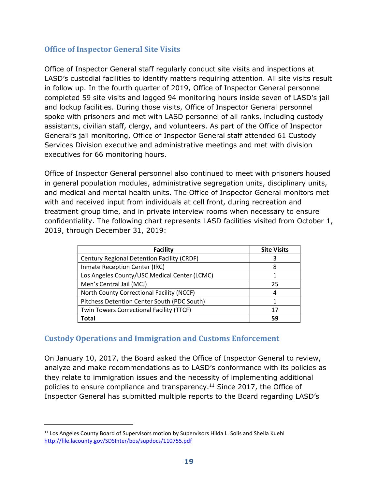### <span id="page-20-0"></span>**Office of Inspector General Site Visits**

Office of Inspector General staff regularly conduct site visits and inspections at LASD's custodial facilities to identify matters requiring attention. All site visits result in follow up. In the fourth quarter of 2019, Office of Inspector General personnel completed 59 site visits and logged 94 monitoring hours inside seven of LASD's jail and lockup facilities. During those visits, Office of Inspector General personnel spoke with prisoners and met with LASD personnel of all ranks, including custody assistants, civilian staff, clergy, and volunteers. As part of the Office of Inspector General's jail monitoring, Office of Inspector General staff attended 61 Custody Services Division executive and administrative meetings and met with division executives for 66 monitoring hours.

Office of Inspector General personnel also continued to meet with prisoners housed in general population modules, administrative segregation units, disciplinary units, and medical and mental health units. The Office of Inspector General monitors met with and received input from individuals at cell front, during recreation and treatment group time, and in private interview rooms when necessary to ensure confidentiality. The following chart represents LASD facilities visited from October 1, 2019, through December 31, 2019:

| <b>Facility</b>                              | <b>Site Visits</b> |
|----------------------------------------------|--------------------|
| Century Regional Detention Facility (CRDF)   | 3                  |
| Inmate Reception Center (IRC)                | 8                  |
| Los Angeles County/USC Medical Center (LCMC) |                    |
| Men's Central Jail (MCJ)                     | 25                 |
| North County Correctional Facility (NCCF)    | 4                  |
| Pitchess Detention Center South (PDC South)  |                    |
| Twin Towers Correctional Facility (TTCF)     | 17                 |
| Total                                        | 59                 |

# <span id="page-20-1"></span>**Custody Operations and Immigration and Customs Enforcement**

On January 10, 2017, the Board asked the Office of Inspector General to review, analyze and make recommendations as to LASD's conformance with its policies as they relate to immigration issues and the necessity of implementing additional policies to ensure compliance and transparency.<sup>11</sup> Since 2017, the Office of Inspector General has submitted multiple reports to the Board regarding LASD's

-

<sup>&</sup>lt;sup>11</sup> Los Angeles County Board of Supervisors motion by Supervisors Hilda L. Solis and Sheila Kuehl <http://file.lacounty.gov/SDSInter/bos/supdocs/110755.pdf>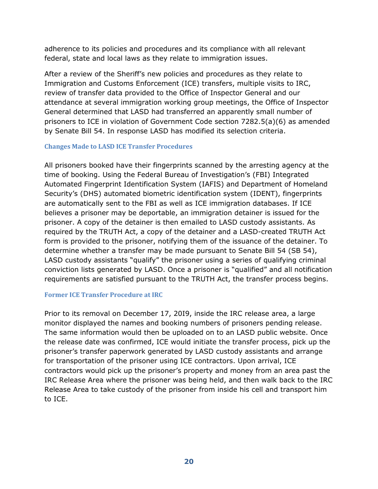adherence to its policies and procedures and its compliance with all relevant federal, state and local laws as they relate to immigration issues.

After a review of the Sheriff's new policies and procedures as they relate to Immigration and Customs Enforcement (ICE) transfers, multiple visits to IRC, review of transfer data provided to the Office of Inspector General and our attendance at several immigration working group meetings, the Office of Inspector General determined that LASD had transferred an apparently small number of prisoners to ICE in violation of Government Code section 7282.5(a)(6) as amended by Senate Bill 54. In response LASD has modified its selection criteria.

#### **Changes Made to LASD ICE Transfer Procedures**

All prisoners booked have their fingerprints scanned by the arresting agency at the time of booking. Using the Federal Bureau of Investigation's (FBI) Integrated Automated Fingerprint Identification System (IAFIS) and Department of Homeland Security's (DHS) automated biometric identification system (IDENT), fingerprints are automatically sent to the FBI as well as ICE immigration databases. If ICE believes a prisoner may be deportable, an immigration detainer is issued for the prisoner. A copy of the detainer is then emailed to LASD custody assistants. As required by the TRUTH Act, a copy of the detainer and a LASD-created TRUTH Act form is provided to the prisoner, notifying them of the issuance of the detainer. To determine whether a transfer may be made pursuant to Senate Bill 54 (SB 54), LASD custody assistants "qualify" the prisoner using a series of qualifying criminal conviction lists generated by LASD. Once a prisoner is "qualified" and all notification requirements are satisfied pursuant to the TRUTH Act, the transfer process begins.

#### **Former ICE Transfer Procedure at IRC**

Prior to its removal on December 17, 20I9, inside the IRC release area, a large monitor displayed the names and booking numbers of prisoners pending release. The same information would then be uploaded on to an LASD public website. Once the release date was confirmed, ICE would initiate the transfer process, pick up the prisoner's transfer paperwork generated by LASD custody assistants and arrange for transportation of the prisoner using ICE contractors. Upon arrival, ICE contractors would pick up the prisoner's property and money from an area past the IRC Release Area where the prisoner was being held, and then walk back to the IRC Release Area to take custody of the prisoner from inside his cell and transport him to ICE.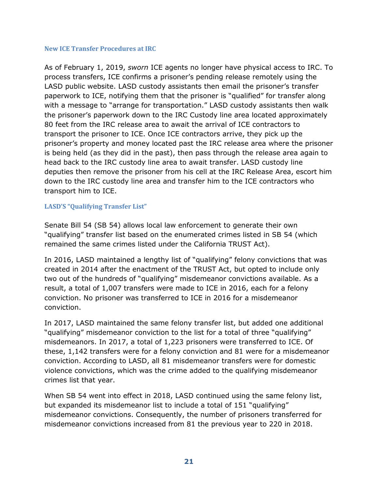#### **New ICE Transfer Procedures at IRC**

As of February 1, 2019, *sworn* ICE agents no longer have physical access to IRC. To process transfers, ICE confirms a prisoner's pending release remotely using the LASD public website. LASD custody assistants then email the prisoner's transfer paperwork to ICE, notifying them that the prisoner is "qualified" for transfer along with a message to "arrange for transportation." LASD custody assistants then walk the prisoner's paperwork down to the IRC Custody line area located approximately 80 feet from the IRC release area to await the arrival of ICE contractors to transport the prisoner to ICE. Once ICE contractors arrive, they pick up the prisoner's property and money located past the IRC release area where the prisoner is being held (as they did in the past), then pass through the release area again to head back to the IRC custody line area to await transfer. LASD custody line deputies then remove the prisoner from his cell at the IRC Release Area, escort him down to the IRC custody line area and transfer him to the ICE contractors who transport him to ICE.

#### **LASD'S "Qualifying Transfer List"**

Senate Bill 54 (SB 54) allows local law enforcement to generate their own "qualifying" transfer list based on the enumerated crimes listed in SB 54 (which remained the same crimes listed under the California TRUST Act).

In 2016, LASD maintained a lengthy list of "qualifying" felony convictions that was created in 2014 after the enactment of the TRUST Act, but opted to include only two out of the hundreds of "qualifying" misdemeanor convictions available. As a result, a total of 1,007 transfers were made to ICE in 2016, each for a felony conviction. No prisoner was transferred to ICE in 2016 for a misdemeanor conviction.

In 2017, LASD maintained the same felony transfer list, but added one additional "qualifying" misdemeanor conviction to the list for a total of three "qualifying" misdemeanors. In 2017, a total of 1,223 prisoners were transferred to ICE. Of these, 1,142 transfers were for a felony conviction and 81 were for a misdemeanor conviction. According to LASD, all 81 misdemeanor transfers were for domestic violence convictions, which was the crime added to the qualifying misdemeanor crimes list that year.

When SB 54 went into effect in 2018, LASD continued using the same felony list, but expanded its misdemeanor list to include a total of 151 "qualifying" misdemeanor convictions. Consequently, the number of prisoners transferred for misdemeanor convictions increased from 81 the previous year to 220 in 2018.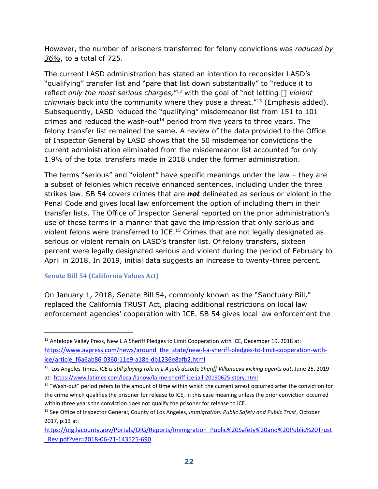However, the number of prisoners transferred for felony convictions was *reduced by 36%*, to a total of 725.

The current LASD administration has stated an intention to reconsider LASD's "qualifying" transfer list and "pare that list down substantially" to "reduce it to reflect *only the most serious charges,*" <sup>12</sup> with the goal of "not letting [] *violent criminals* back into the community where they pose a threat."<sup>13</sup> (Emphasis added). Subsequently, LASD reduced the "qualifying" misdemeanor list from 151 to 101 crimes and reduced the wash-out<sup>14</sup> period from five years to three years. The felony transfer list remained the same. A review of the data provided to the Office of Inspector General by LASD shows that the 50 misdemeanor convictions the current administration eliminated from the misdemeanor list accounted for only 1.9% of the total transfers made in 2018 under the former administration.

The terms "serious" and "violent" have specific meanings under the law – they are a subset of felonies which receive enhanced sentences, including under the three strikes law. SB 54 covers crimes that are *not* delineated as serious or violent in the Penal Code and gives local law enforcement the option of including them in their transfer lists. The Office of Inspector General reported on the prior administration's use of these terms in a manner that gave the impression that only serious and violent felons were transferred to ICE.<sup>15</sup> Crimes that are not legally designated as serious or violent remain on LASD's transfer list. Of felony transfers, sixteen percent were legally designated serious and violent during the period of February to April in 2018. In 2019, initial data suggests an increase to twenty-three percent.

#### **Senate Bill 54 (California Values Act)**

 $\overline{a}$ 

On January 1, 2018, Senate Bill 54, commonly known as the "Sanctuary Bill," replaced the California TRUST Act, placing additional restrictions on local law enforcement agencies' cooperation with ICE. SB 54 gives local law enforcement the

<sup>&</sup>lt;sup>12</sup> Antelope Valley Press, New L.A Sheriff Pledges to Limit Cooperation with ICE, December 19, 2018 at: [https://www.avpress.com/news/around\\_the\\_state/new-l-a-sheriff-pledges-to-limit-cooperation-with](https://www.avpress.com/news/around_the_state/new-l-a-sheriff-pledges-to-limit-cooperation-with-ice/article_f6a6ab86-0360-11e9-a18e-db1236e8afb2.html)[ice/article\\_f6a6ab86-0360-11e9-a18e-db1236e8afb2.html](https://www.avpress.com/news/around_the_state/new-l-a-sheriff-pledges-to-limit-cooperation-with-ice/article_f6a6ab86-0360-11e9-a18e-db1236e8afb2.html)

<sup>13</sup> Los Angeles Times, *ICE is still playing role in L.A jails despite Sheriff Villanueva kicking agents out*, June 25, 2019 at:<https://www.latimes.com/local/lanow/la-me-sheriff-ice-jail-20190625-story.html>

<sup>14</sup> "Wash-out" period refers to the amount of time within which the current arrest occurred after the conviction for the crime which qualifies the prisoner for release to ICE, in this case meaning unless the prior conviction occurred within three years the conviction does not qualify the prisoner for release to ICE.

<sup>15</sup> See Office of Inspector General, County of Los Angeles, *Immigration: Public Safety and Public Trust*, October 2017, p.13 at:

[https://oig.lacounty.gov/Portals/OIG/Reports/Immigration\\_Public%20Safety%20and%20Public%20Trust](https://oig.lacounty.gov/Portals/OIG/Reports/Immigration_Public%20Safety%20and%20Public%20Trust_Rev.pdf?ver=2018-06-21-143525-690) [\\_Rev.pdf?ver=2018-06-21-143525-690](https://oig.lacounty.gov/Portals/OIG/Reports/Immigration_Public%20Safety%20and%20Public%20Trust_Rev.pdf?ver=2018-06-21-143525-690)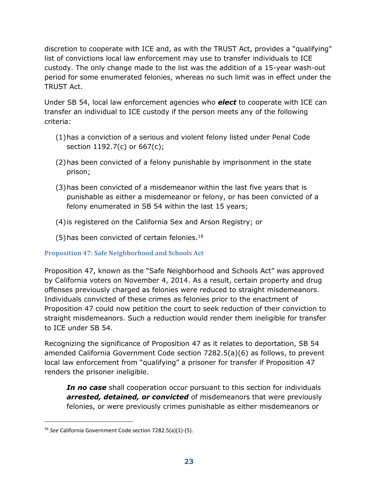discretion to cooperate with ICE and, as with the TRUST Act, provides a "qualifying" list of convictions local law enforcement may use to transfer individuals to ICE custody. The only change made to the list was the addition of a 15-year wash-out period for some enumerated felonies, whereas no such limit was in effect under the TRUST Act.

Under SB 54, local law enforcement agencies who *elect* to cooperate with ICE can transfer an individual to ICE custody if the person meets any of the following criteria:

- (1)has a conviction of a serious and violent felony listed under Penal Code section 1192.7(c) or 667(c);
- (2)has been convicted of a felony punishable by imprisonment in the state prison;
- (3)has been convicted of a misdemeanor within the last five years that is punishable as either a misdemeanor or felony, or has been convicted of a felony enumerated in SB 54 within the last 15 years;
- (4)is registered on the California Sex and Arson Registry; or
- (5)has been convicted of certain felonies.<sup>16</sup>

#### **Proposition 47: Safe Neighborhood and Schools Act**

Proposition 47, known as the "Safe Neighborhood and Schools Act" was approved by California voters on November 4, 2014. As a result, certain property and drug offenses previously charged as felonies were reduced to straight misdemeanors. Individuals convicted of these crimes as felonies prior to the enactment of Proposition 47 could now petition the court to seek reduction of their conviction to straight misdemeanors. Such a reduction would render them ineligible for transfer to ICE under SB 54.

Recognizing the significance of Proposition 47 as it relates to deportation, SB 54 amended California Government Code section 7282.5(a)(6) as follows, to prevent local law enforcement from "qualifying" a prisoner for transfer if Proposition 47 renders the prisoner ineligible.

*In no case* shall cooperation occur pursuant to this section for individuals *arrested, detained, or convicted* of misdemeanors that were previously felonies, or were previously crimes punishable as either misdemeanors or

 $\overline{a}$ 

<sup>16</sup> *See* California Government Code section 7282.5(a)(1)-(5).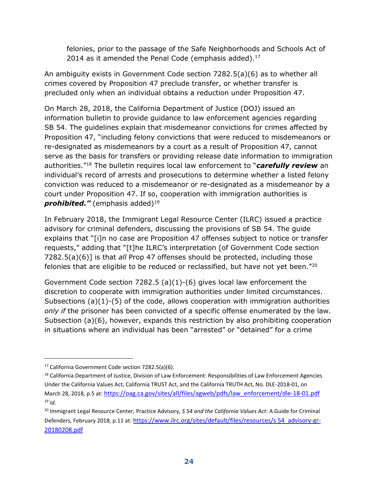felonies, prior to the passage of the Safe Neighborhoods and Schools Act of 2014 as it amended the Penal Code (emphasis added). $17$ 

An ambiguity exists in Government Code section 7282.5(a)(6) as to whether all crimes covered by Proposition 47 preclude transfer, or whether transfer is precluded only when an individual obtains a reduction under Proposition 47.

On March 28, 2018, the California Department of Justice (DOJ) issued an information bulletin to provide guidance to law enforcement agencies regarding SB 54. The guidelines explain that misdemeanor convictions for crimes affected by Proposition 47, "including felony convictions that were reduced to misdemeanors or re-designated as misdemeanors by a court as a result of Proposition 47, cannot serve as the basis for transfers or providing release date information to immigration authorities."<sup>18</sup> The bulletin requires local law enforcement to "*carefully review* an individual's record of arrests and prosecutions to determine whether a listed felony conviction was reduced to a misdemeanor or re-designated as a misdemeanor by a court under Proposition 47. If so, cooperation with immigration authorities is **prohibited.**" (emphasis added)<sup>19</sup>

In February 2018, the Immigrant Legal Resource Center (ILRC) issued a practice advisory for criminal defenders, discussing the provisions of SB 54. The guide explains that "[i]n no case are Proposition 47 offenses subject to notice or transfer requests," adding that "[t]he ILRC's interpretation [of Government Code section 7282.5(a)(6)] is that *all* Prop 47 offenses should be protected, including those felonies that are eligible to be reduced or reclassified, but have not yet been."<sup>20</sup>

Government Code section 7282.5 (a)(1)-(6) gives local law enforcement the discretion to cooperate with immigration authorities under limited circumstances. Subsections  $(a)(1)-(5)$  of the code, allows cooperation with immigration authorities *only if* the prisoner has been convicted of a specific offense enumerated by the law. Subsection (a)(6), however, expands this restriction by also prohibiting cooperation in situations where an individual has been "arrested" or "detained" for a crime

 $\overline{a}$ 

<sup>17</sup> California Government Code section 7282.5(a)(6).

<sup>&</sup>lt;sup>18</sup> California Department of Justice, Division of Law Enforcement: Responsibilities of Law Enforcement Agencies Under the California Values Act, California TRUST Act, and the California TRUTH Act, No. DLE-2018-01, on March 28, 2018, p.5 at: [https://oag.ca.gov/sites/all/files/agweb/pdfs/law\\_enforcement/dle-18-01.pdf](https://oag.ca.gov/sites/all/files/agweb/pdfs/law_enforcement/dle-18-01.pdf)  $19$  *Id*.

<sup>20</sup> Immigrant Legal Resource Center, Practice Advisory, *S 54 and the California Values Act*: A Guide for Criminal Defenders, February 2018, p.11 at: [https://www.ilrc.org/sites/default/files/resources/s](https://www.ilrc.org/sites/default/files/resources/sb54_advisory-gr-20180208.pdf) 54\_advisory-gr-[20180208.pdf](https://www.ilrc.org/sites/default/files/resources/sb54_advisory-gr-20180208.pdf)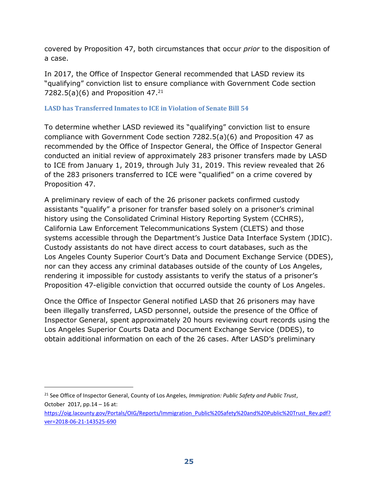covered by Proposition 47, both circumstances that occur *prior* to the disposition of a case.

In 2017, the Office of Inspector General recommended that LASD review its "qualifying" conviction list to ensure compliance with Government Code section 7282.5(a)(6) and Proposition  $47.^{21}$ 

#### **LASD has Transferred Inmates to ICE in Violation of Senate Bill 54**

To determine whether LASD reviewed its "qualifying" conviction list to ensure compliance with Government Code section 7282.5(a)(6) and Proposition 47 as recommended by the Office of Inspector General, the Office of Inspector General conducted an initial review of approximately 283 prisoner transfers made by LASD to ICE from January 1, 2019, through July 31, 2019. This review revealed that 26 of the 283 prisoners transferred to ICE were "qualified" on a crime covered by Proposition 47.

A preliminary review of each of the 26 prisoner packets confirmed custody assistants "qualify" a prisoner for transfer based solely on a prisoner's criminal history using the Consolidated Criminal History Reporting System (CCHRS), California Law Enforcement Telecommunications System (CLETS) and those systems accessible through the Department's Justice Data Interface System (JDIC). Custody assistants do not have direct access to court databases, such as the Los Angeles County Superior Court's Data and Document Exchange Service (DDES), nor can they access any criminal databases outside of the county of Los Angeles, rendering it impossible for custody assistants to verify the status of a prisoner's Proposition 47-eligible conviction that occurred outside the county of Los Angeles.

Once the Office of Inspector General notified LASD that 26 prisoners may have been illegally transferred, LASD personnel, outside the presence of the Office of Inspector General, spent approximately 20 hours reviewing court records using the Los Angeles Superior Courts Data and Document Exchange Service (DDES), to obtain additional information on each of the 26 cases. After LASD's preliminary

-

<sup>21</sup> See Office of Inspector General, County of Los Angeles, *Immigration: Public Safety and Public Trust*, October 2017, pp.14 – 16 at:

[https://oig.lacounty.gov/Portals/OIG/Reports/Immigration\\_Public%20Safety%20and%20Public%20Trust\\_Rev.pdf?](https://oig.lacounty.gov/Portals/OIG/Reports/Immigration_Public%20Safety%20and%20Public%20Trust_Rev.pdf?ver=2018-06-21-143525-690) [ver=2018-06-21-143525-690](https://oig.lacounty.gov/Portals/OIG/Reports/Immigration_Public%20Safety%20and%20Public%20Trust_Rev.pdf?ver=2018-06-21-143525-690)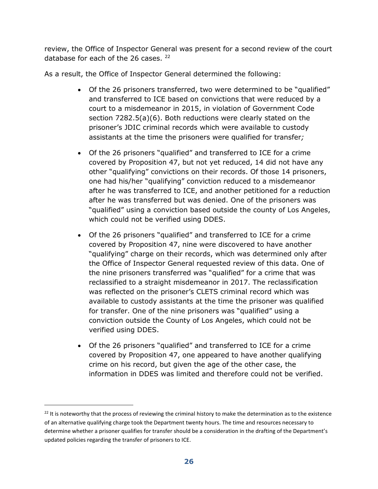review, the Office of Inspector General was present for a second review of the court database for each of the 26 cases. <sup>22</sup>

As a result, the Office of Inspector General determined the following:

- Of the 26 prisoners transferred, two were determined to be "qualified" and transferred to ICE based on convictions that were reduced by a court to a misdemeanor in 2015, in violation of Government Code section 7282.5(a)(6). Both reductions were clearly stated on the prisoner's JDIC criminal records which were available to custody assistants at the time the prisoners were qualified for transfer*;*
- Of the 26 prisoners "qualified" and transferred to ICE for a crime covered by Proposition 47, but not yet reduced, 14 did not have any other "qualifying" convictions on their records. Of those 14 prisoners, one had his/her "qualifying" conviction reduced to a misdemeanor after he was transferred to ICE, and another petitioned for a reduction after he was transferred but was denied. One of the prisoners was "qualified" using a conviction based outside the county of Los Angeles, which could not be verified using DDES.
- Of the 26 prisoners "qualified" and transferred to ICE for a crime covered by Proposition 47, nine were discovered to have another "qualifying" charge on their records, which was determined only after the Office of Inspector General requested review of this data. One of the nine prisoners transferred was "qualified" for a crime that was reclassified to a straight misdemeanor in 2017. The reclassification was reflected on the prisoner's CLETS criminal record which was available to custody assistants at the time the prisoner was qualified for transfer. One of the nine prisoners was "qualified" using a conviction outside the County of Los Angeles, which could not be verified using DDES.
- Of the 26 prisoners "qualified" and transferred to ICE for a crime covered by Proposition 47, one appeared to have another qualifying crime on his record, but given the age of the other case, the information in DDES was limited and therefore could not be verified.

 $\overline{a}$ 

<sup>&</sup>lt;sup>22</sup> It is noteworthy that the process of reviewing the criminal history to make the determination as to the existence of an alternative qualifying charge took the Department twenty hours. The time and resources necessary to determine whether a prisoner qualifies for transfer should be a consideration in the drafting of the Department's updated policies regarding the transfer of prisoners to ICE.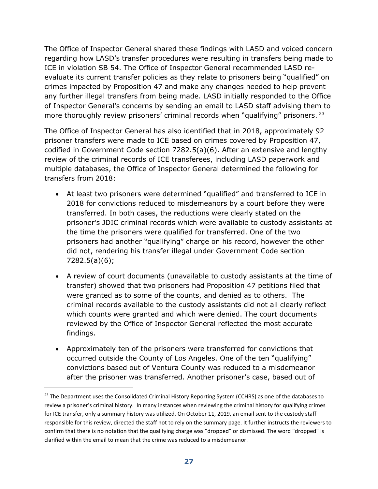The Office of Inspector General shared these findings with LASD and voiced concern regarding how LASD's transfer procedures were resulting in transfers being made to ICE in violation SB 54. The Office of Inspector General recommended LASD reevaluate its current transfer policies as they relate to prisoners being "qualified" on crimes impacted by Proposition 47 and make any changes needed to help prevent any further illegal transfers from being made. LASD initially responded to the Office of Inspector General's concerns by sending an email to LASD staff advising them to more thoroughly review prisoners' criminal records when "qualifying" prisoners. <sup>23</sup>

The Office of Inspector General has also identified that in 2018, approximately 92 prisoner transfers were made to ICE based on crimes covered by Proposition 47, codified in Government Code section 7282.5(a)(6). After an extensive and lengthy review of the criminal records of ICE transferees, including LASD paperwork and multiple databases, the Office of Inspector General determined the following for transfers from 2018:

- At least two prisoners were determined "qualified" and transferred to ICE in 2018 for convictions reduced to misdemeanors by a court before they were transferred. In both cases, the reductions were clearly stated on the prisoner's JDIC criminal records which were available to custody assistants at the time the prisoners were qualified for transferred. One of the two prisoners had another "qualifying" charge on his record, however the other did not, rendering his transfer illegal under Government Code section 7282.5(a)(6);
- A review of court documents (unavailable to custody assistants at the time of transfer) showed that two prisoners had Proposition 47 petitions filed that were granted as to some of the counts, and denied as to others. The criminal records available to the custody assistants did not all clearly reflect which counts were granted and which were denied. The court documents reviewed by the Office of Inspector General reflected the most accurate findings.
- Approximately ten of the prisoners were transferred for convictions that occurred outside the County of Los Angeles. One of the ten "qualifying" convictions based out of Ventura County was reduced to a misdemeanor after the prisoner was transferred. Another prisoner's case, based out of

 $\overline{a}$ 

<sup>&</sup>lt;sup>23</sup> The Department uses the Consolidated Criminal History Reporting System (CCHRS) as one of the databases to review a prisoner's criminal history. In many instances when reviewing the criminal history for qualifying crimes for ICE transfer, only a summary history was utilized. On October 11, 2019, an email sent to the custody staff responsible for this review, directed the staff not to rely on the summary page. It further instructs the reviewers to confirm that there is no notation that the qualifying charge was "dropped" or dismissed. The word "dropped" is clarified within the email to mean that the crime was reduced to a misdemeanor.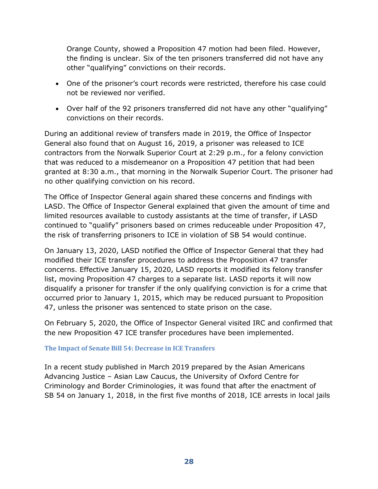Orange County, showed a Proposition 47 motion had been filed. However, the finding is unclear. Six of the ten prisoners transferred did not have any other "qualifying" convictions on their records.

- One of the prisoner's court records were restricted, therefore his case could not be reviewed nor verified.
- Over half of the 92 prisoners transferred did not have any other "qualifying" convictions on their records.

During an additional review of transfers made in 2019, the Office of Inspector General also found that on August 16, 2019, a prisoner was released to ICE contractors from the Norwalk Superior Court at 2:29 p.m., for a felony conviction that was reduced to a misdemeanor on a Proposition 47 petition that had been granted at 8:30 a.m., that morning in the Norwalk Superior Court. The prisoner had no other qualifying conviction on his record.

The Office of Inspector General again shared these concerns and findings with LASD. The Office of Inspector General explained that given the amount of time and limited resources available to custody assistants at the time of transfer, if LASD continued to "qualify" prisoners based on crimes reduceable under Proposition 47, the risk of transferring prisoners to ICE in violation of SB 54 would continue.

On January 13, 2020, LASD notified the Office of Inspector General that they had modified their ICE transfer procedures to address the Proposition 47 transfer concerns. Effective January 15, 2020, LASD reports it modified its felony transfer list, moving Proposition 47 charges to a separate list. LASD reports it will now disqualify a prisoner for transfer if the only qualifying conviction is for a crime that occurred prior to January 1, 2015, which may be reduced pursuant to Proposition 47, unless the prisoner was sentenced to state prison on the case.

On February 5, 2020, the Office of Inspector General visited IRC and confirmed that the new Proposition 47 ICE transfer procedures have been implemented.

#### **The Impact of Senate Bill 54: Decrease in ICE Transfers**

In a recent study published in March 2019 prepared by the Asian Americans Advancing Justice – Asian Law Caucus, the University of Oxford Centre for Criminology and Border Criminologies, it was found that after the enactment of SB 54 on January 1, 2018, in the first five months of 2018, ICE arrests in local jails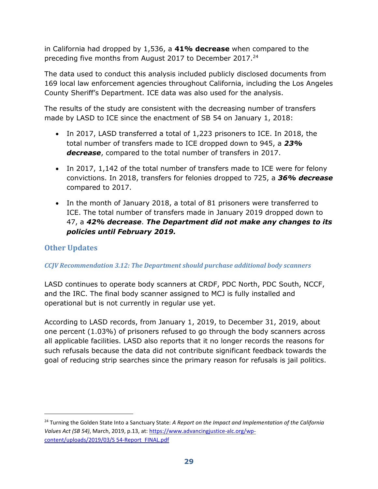in California had dropped by 1,536, a **41% decrease** when compared to the preceding five months from August 2017 to December 2017.<sup>24</sup>

The data used to conduct this analysis included publicly disclosed documents from 169 local law enforcement agencies throughout California, including the Los Angeles County Sheriff's Department. ICE data was also used for the analysis.

The results of the study are consistent with the decreasing number of transfers made by LASD to ICE since the enactment of SB 54 on January 1, 2018:

- In 2017, LASD transferred a total of 1,223 prisoners to ICE. In 2018, the total number of transfers made to ICE dropped down to 945, a *23% decrease*, compared to the total number of transfers in 2017.
- In 2017, 1,142 of the total number of transfers made to ICE were for felony convictions. In 2018, transfers for felonies dropped to 725, a *36% decrease* compared to 2017.
- In the month of January 2018, a total of 81 prisoners were transferred to ICE. The total number of transfers made in January 2019 dropped down to 47, a *42% decrease*. *The Department did not make any changes to its policies until February 2019.*

# <span id="page-30-0"></span>**Other Updates**

-

#### *CCJV Recommendation 3.12: The Department should purchase additional body scanners*

LASD continues to operate body scanners at CRDF, PDC North, PDC South, NCCF, and the IRC. The final body scanner assigned to MCJ is fully installed and operational but is not currently in regular use yet.

According to LASD records, from January 1, 2019, to December 31, 2019, about one percent (1.03%) of prisoners refused to go through the body scanners across all applicable facilities. LASD also reports that it no longer records the reasons for such refusals because the data did not contribute significant feedback towards the goal of reducing strip searches since the primary reason for refusals is jail politics.

<sup>24</sup> Turning the Golden State Into a Sanctuary State: *A Report on the Impact and Implementation of the California Values Act (SB 54)*, March, 2019, p.13, at: [https://www.advancingjustice-alc.org/wp](https://www.advancingjustice-alc.org/wp-content/uploads/2019/03/SB54-Report_FINAL.pdf)[content/uploads/2019/03/S](https://www.advancingjustice-alc.org/wp-content/uploads/2019/03/SB54-Report_FINAL.pdf) 54-Report\_FINAL.pdf